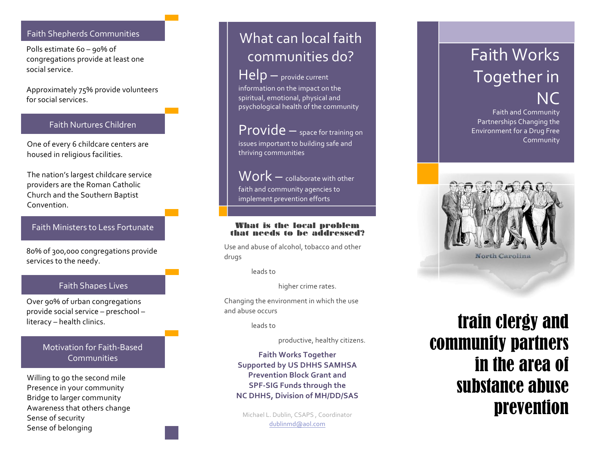### Faith Shepherds Communities

Polls estimate 6o - 90% of congregations provide at least one social service.

Approximately 75% provide volunteers for social services.

### Faith Nurtures Children

One of every 6 childcare centers are housed in religious facilities.

The nation's largest childcare service providers are the Roman Catholic Church and the Southern Baptist Convention.

## Faith Ministers to Less Fortunate

80% of 300,000 congregations provide services to the needy.

## Faith Shapes Lives

Over 90% of urban congregations provide social service – preschool – literacy - health clinics.

## Motivation for Faith-Based Communities

Willing to go the second mile Presence in your community Bridge to larger community Awareness that others change Sense of security Sense of belonging

# What can local faith communities do?

# Help - provide current

information on the impact on the spiritual, emotional, physical and psychological health of the community

 $Provide -$  space for training on issues important to building safe and thriving communities

 $Work$   $-$  collaborate with other faith and community agencies to implement prevention efforts

#### What is the local problem that needs to be addressed?

Use and abuse of alcohol, tobacco and other drugs

leads to

higher crime rates.

Changing the environment in which the use and abuse occurs

leads!to

productive, healthy citizens.

**Faith Works Together Supported by US DHHS SAMHSA Prevention Block Grant and SPF-SIG Funds through the NC DHHS, Division of MH/DD/SAS** 

Michael L. Dublin, CSAPS, Coordinator dublinmd@aol.com

# Faith!Works! Together in **NC**

Faith and Community Partnerships Changing the Environment for a Drug Free Community



# train clergy and community partners in the area of substance abuse prevention